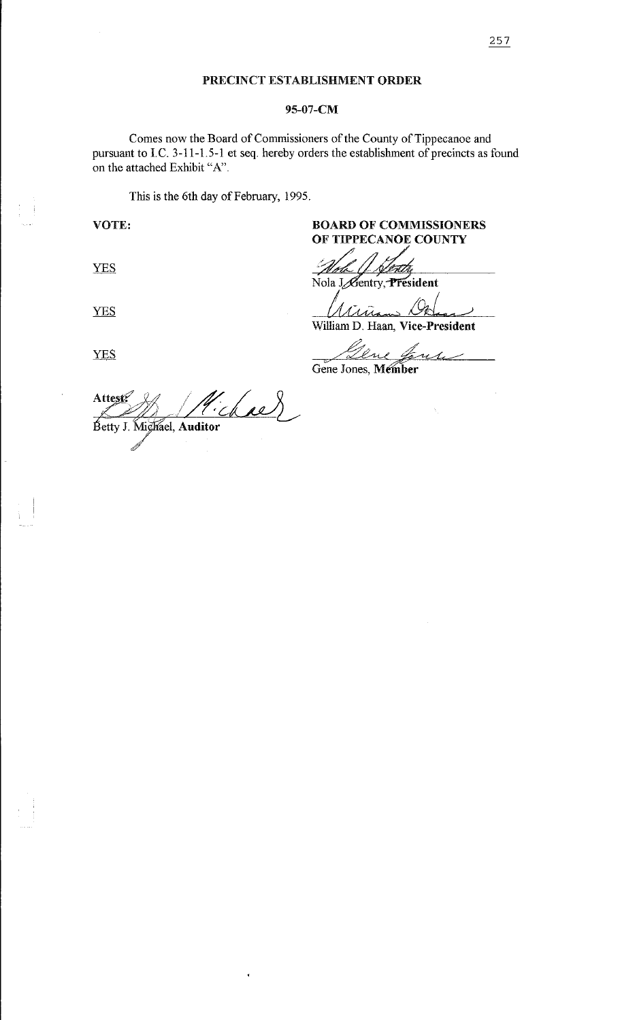#### 95-07-CM

Comes now the Board of Commissioners of the County of Tippecanoe and pursuant to I.C. 3-11-1.5-1 et seq. hereby orders the establishment of precincts as found on the attached Exhibit "A".

This is the 6th day of February, 1995.

# VOTE: BOARD OF COMMISSIONERS OF TIPPECANOE COUNTY

**YES** 

**YES** 

**YES** 

Nola J Gentry, President

 $\lambda$  $\overline{\mathcal{U}}$ William D. Haan, Vice-President

William D. Fraan, Vice-Fresident<br>Cene Jones, Member

Attest? "chae" Betty J. Mighael, Auditor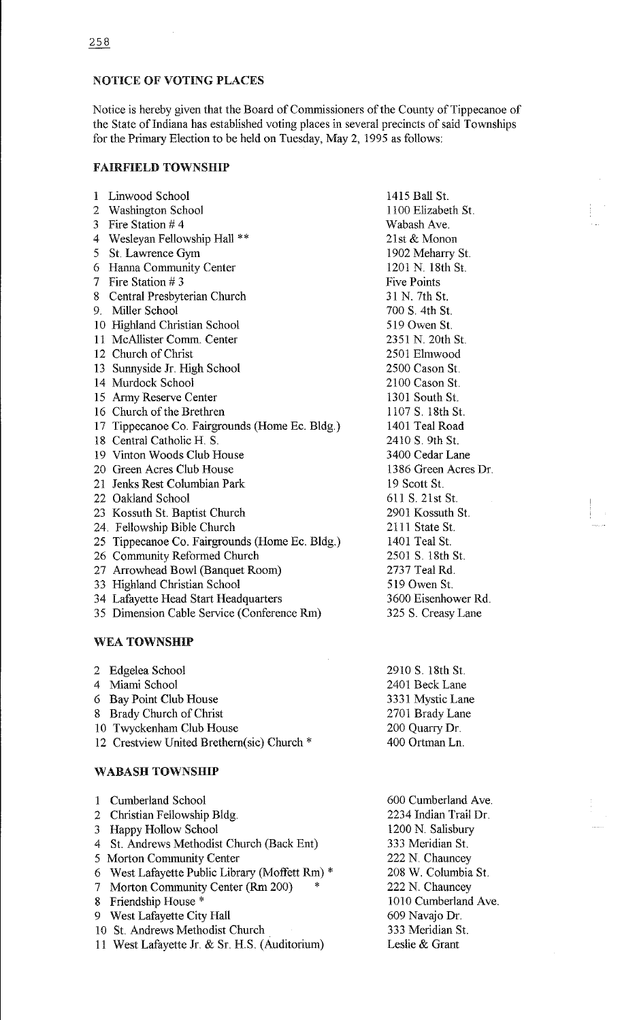# NOTICE OF VOTING PLACES

Notice is hereby given that the Board of Commissioners of the County of Tippecanoe of the State of Indiana has established voting places in several precincts of said Townships for the Primary Election to be held on Tuesday, May 2, 1995 as follows:

### FAIRFIELD TOWNSHIP

| 1 | Linwood School                                 | 1415 Ball St.        |
|---|------------------------------------------------|----------------------|
| 2 | <b>Washington School</b>                       | 1100 Elizabeth St.   |
| 3 | Fire Station #4                                | Wabash Ave.          |
| 4 | Wesleyan Fellowship Hall **                    | 21st & Monon         |
| 5 | St. Lawrence Gym                               | 1902 Meharry St.     |
| 6 | <b>Hanna Community Center</b>                  | 1201 N. 18th St.     |
| 7 | Fire Station # 3                               | <b>Five Points</b>   |
| 8 | Central Presbyterian Church                    | 31 N. 7th St.        |
|   | 9. Miller School                               | 700 S. 4th St.       |
|   | 10 Highland Christian School                   | 519 Owen St.         |
|   | 11 McAllister Comm. Center                     | 2351 N. 20th St.     |
|   | 12 Church of Christ                            | 2501 Elmwood         |
|   | 13 Sunnyside Jr. High School                   | 2500 Cason St.       |
|   | 14 Murdock School                              | 2100 Cason St.       |
|   | 15 Army Reserve Center                         | 1301 South St.       |
|   | 16 Church of the Brethren                      | 1107 S. 18th St.     |
|   | 17 Tippecanoe Co. Fairgrounds (Home Ec. Bldg.) | 1401 Teal Road       |
|   | 18 Central Catholic H. S.                      | 2410 S. 9th St.      |
|   | 19 Vinton Woods Club House                     | 3400 Cedar Lane      |
|   | 20 Green Acres Club House                      | 1386 Green Acres Dr. |
|   | 21 Jenks Rest Columbian Park                   | 19 Scott St.         |
|   | 22 Oakland School                              | 611 S. 21st St.      |
|   | 23 Kossuth St. Baptist Church                  | 2901 Kossuth St.     |
|   | 24. Fellowship Bible Church                    | 2111 State St.       |
|   | 25 Tippecanoe Co. Fairgrounds (Home Ec. Bldg.) | 1401 Teal St.        |
|   | 26 Community Reformed Church                   | 2501 S. 18th St.     |
|   | 27 Arrowhead Bowl (Banquet Room)               | 2737 Teal Rd.        |
|   | 33 Highland Christian School                   | 519 Owen St.         |
|   | 34 Lafayette Head Start Headquarters           | 3600 Eisenhower Rd.  |
|   | 35 Dimension Cable Service (Conference Rm)     | 325 S. Creasy Lane   |
|   |                                                |                      |

# WEA TOWNSHIP

| 2 Edgelea School                           | 2910 S. 18th St. |
|--------------------------------------------|------------------|
| 4 Miami School                             | 2401 Beck Lane   |
| 6 Bay Point Club House                     | 3331 Mystic Lane |
| 8 Brady Church of Christ                   | 2701 Brady Lane  |
| 10 Twyckenham Club House                   | 200 Quarry Dr.   |
| 12 Crestview United Brethern(sic) Church * | 400 Ortman Ln.   |
|                                            |                  |

## WABASH TOWNSHIP

| 1 Cumberland School                            | 600 Cumberland Ave.   |
|------------------------------------------------|-----------------------|
| 2 Christian Fellowship Bldg.                   | 2234 Indian Trail Dr. |
| 3 Happy Hollow School                          | 1200 N. Salisbury     |
| 4 St. Andrews Methodist Church (Back Ent)      | 333 Meridian St.      |
| 5 Morton Community Center                      | 222 N. Chauncey       |
| 6 West Lafayette Public Library (Moffett Rm) * | 208 W. Columbia St.   |
| 7 Morton Community Center (Rm 200)<br>*        | 222 N. Chauncey       |
| 8 Friendship House *                           | 1010 Cumberland Ave.  |
| 9 West Lafayette City Hall                     | 609 Navajo Dr.        |
| 10 St. Andrews Methodist Church                | 333 Meridian St.      |
| 11 West Lafayette Jr. & Sr. H.S. (Auditorium)  | Leslie & Grant        |
|                                                |                       |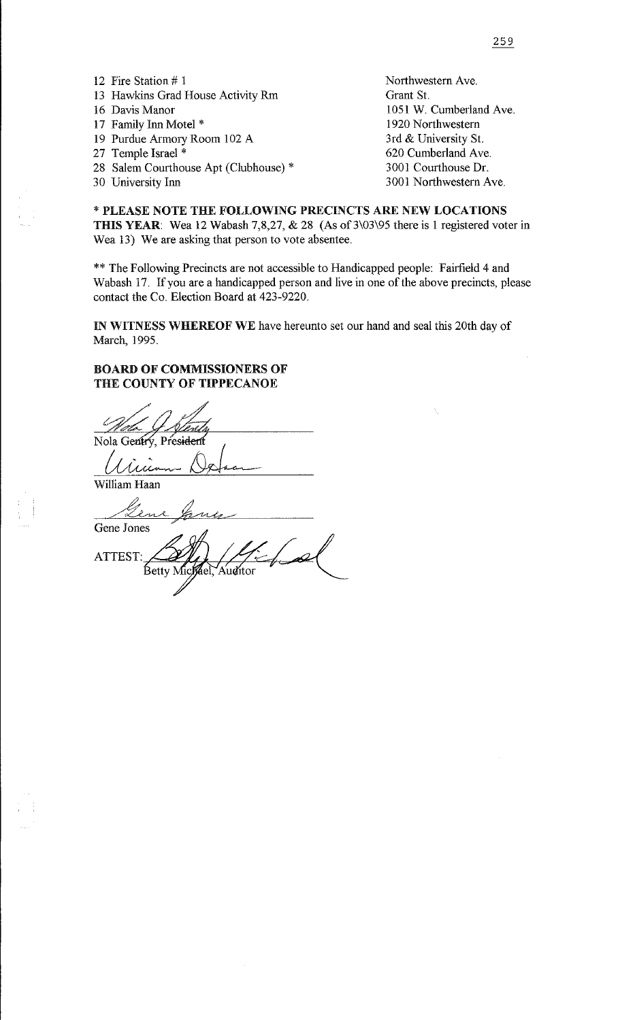12 Fire Station # I 13 Hawkins Grad House Activity Rm 16 Davis Manor 17 Family Inn Motel \* 19 Purdue Armory Room 102 A 27 Temple Israel \* 28 Salem Courthouse Apt (Clubhouse) \* 30 University Inn Northwestern Ave. Grant St. 1051 W. Cumberland Ave. 1920 Northwestern 3rd & University St. 620 Cumberland Ave. 3001 Courthouse Dr. 3001 Northwestern Ave.

\*PLEASE NOTE THE FOLLOWING PRECINCTS ARE NEW LOCATIONS THIS YEAR: Wea 12 Wabash 7,8,27, & 28 (As of 3\03\95 there is 1 registered voter in Wea 13) We are asking that person to vote absentee.

\*\* The Following Precincts are not accessible to Handicapped people: Fairfield 4 and Wabash 17. If you are a handicapped person and live in one of the above precincts, please contact the Co. Election Board at 423-9220.

IN WITNESS WHEREOF WE have hereunto set our hand and seal this 20th day of March, 1995.

#### BOARD OF COMMISSIONERS OF THE COUNTY OF TIPPECANOE

Nola Gentry, President William Haan 7 Gene Jones ATTEST: Betty Michel 'Auditor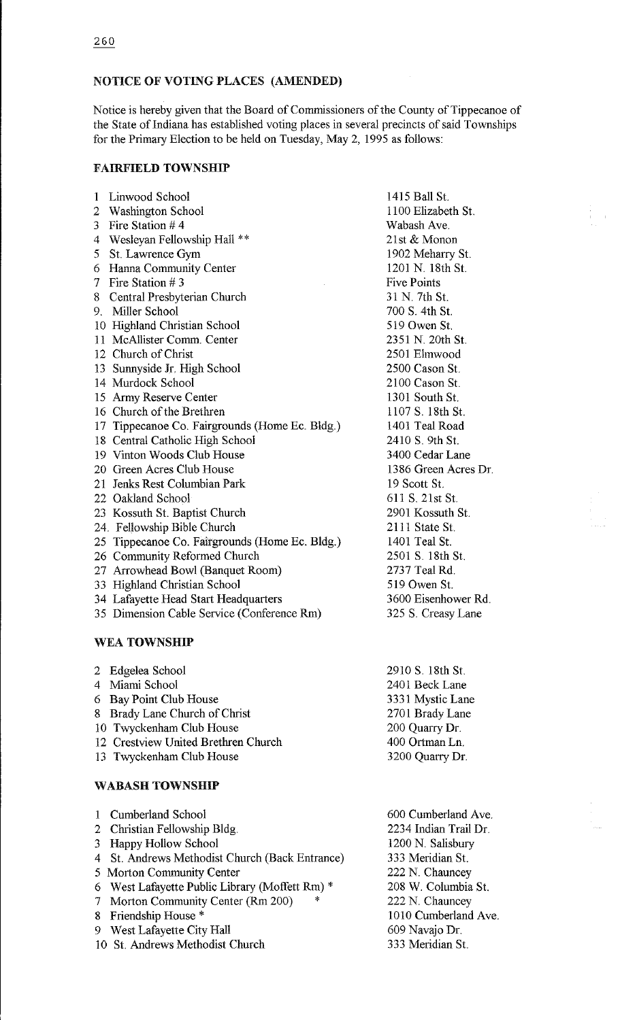# NOTICE OF VOTING PLACES (AMENDED)

Notice is hereby given that the Board of Commissioners of the County of Tippecanoe of the State of Indiana has established voting places in several precincts of said Townships for the Primary Election to be held on Tuesday, May 2, 1995 as follows:

#### FAIRFIELD TOWNSHIP

| $\mathbf{1}$ | Linwood School                                 | 1415 Ball St.        |
|--------------|------------------------------------------------|----------------------|
| 2            | <b>Washington School</b>                       | 1100 Elizabeth St.   |
| 3            | Fire Station $#4$                              | Wabash Ave.          |
| 4            | Wesleyan Fellowship Hall **                    | 21st & Monon         |
| 5            | St. Lawrence Gym                               | 1902 Meharry St.     |
| 6            | Hanna Community Center                         | 1201 N. 18th St.     |
| 7            | Fire Station $# 3$                             | <b>Five Points</b>   |
| 8            | Central Presbyterian Church                    | 31 N. 7th St.        |
|              | 9. Miller School                               | 700 S. 4th St.       |
|              | 10 Highland Christian School                   | 519 Owen St.         |
|              | 11 McAllister Comm. Center                     | 2351 N. 20th St.     |
|              | 12 Church of Christ                            | 2501 Elmwood         |
|              | 13 Sunnyside Jr. High School                   | 2500 Cason St.       |
|              | 14 Murdock School                              | 2100 Cason St.       |
|              | 15 Army Reserve Center                         | 1301 South St.       |
|              | 16 Church of the Brethren                      | 1107 S. 18th St.     |
| 17           | Tippecanoe Co. Fairgrounds (Home Ec. Bldg.)    | 1401 Teal Road       |
|              | 18 Central Catholic High School                | 2410 S. 9th St.      |
|              | 19 Vinton Woods Club House                     | 3400 Cedar Lane      |
|              | 20 Green Acres Club House                      | 1386 Green Acres Dr. |
|              | 21 Jenks Rest Columbian Park                   | 19 Scott St.         |
|              | 22 Oakland School                              | 611 S. 21st St.      |
|              | 23 Kossuth St. Baptist Church                  | 2901 Kossuth St.     |
|              | 24. Fellowship Bible Church                    | 2111 State St.       |
|              | 25 Tippecanoe Co. Fairgrounds (Home Ec. Bldg.) | 1401 Teal St.        |
|              | 26 Community Reformed Church                   | 2501 S. 18th St.     |
|              | 27 Arrowhead Bowl (Banquet Room)               | 2737 Teal Rd.        |
|              | 33 Highland Christian School                   | 519 Owen St.         |
|              | 34 Lafayette Head Start Headquarters           | 3600 Eisenhower Rd.  |
|              | 35 Dimension Cable Service (Conference Rm)     | 325 S. Creasy Lane   |
|              |                                                |                      |

### WEA TOWNSHIP

|                        | 2 Edgelea School                    | 2910 S. 18th St. |
|------------------------|-------------------------------------|------------------|
|                        | 4 Miami School                      | 2401 Beck Lane   |
|                        | 6 Bay Point Club House              | 3331 Mystic Lane |
|                        | 8 Brady Lane Church of Christ       | 2701 Brady Lane  |
|                        | 10 Twyckenham Club House            | 200 Quarry Dr.   |
|                        | 12 Crestview United Brethren Church | 400 Ortman Ln.   |
|                        | 13 Twyckenham Club House            | 3200 Quarry Dr.  |
|                        |                                     |                  |
| <b>WABASH TOWNSHIP</b> |                                     |                  |

| 1 Cumberland School                            | 600 Cumberland Ave.   |
|------------------------------------------------|-----------------------|
| 2 Christian Fellowship Bldg.                   | 2234 Indian Trail Dr. |
| 3 Happy Hollow School                          | 1200 N. Salisbury     |
| 4 St. Andrews Methodist Church (Back Entrance) | 333 Meridian St.      |
| 5 Morton Community Center                      | 222 N. Chauncey       |
| 6 West Lafayette Public Library (Moffett Rm) * | 208 W. Columbia St.   |
| 7 Morton Community Center (Rm 200)<br>∗        | 222 N. Chauncey       |
| 8 Friendship House *                           | 1010 Cumberland Ave.  |
| 9 West Lafayette City Hall                     | 609 Navajo Dr.        |
| 10 St. Andrews Methodist Church                | 333 Meridian St.      |
|                                                |                       |